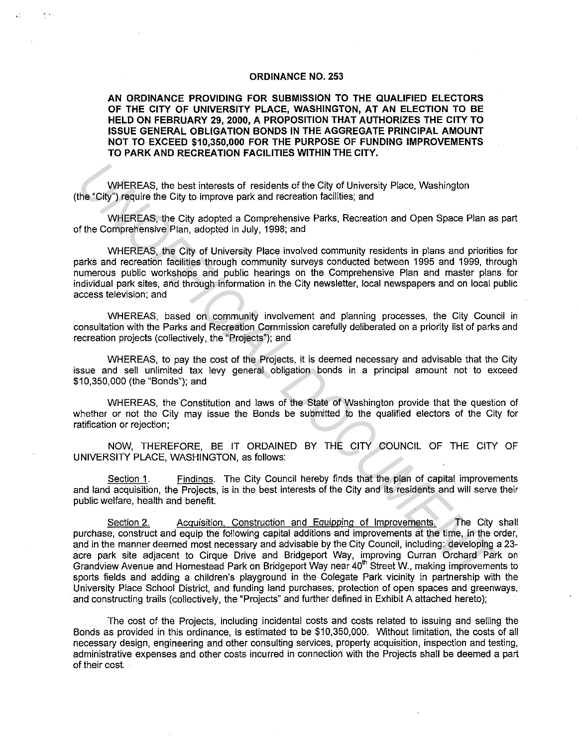## **ORDINANCE NO. 253**

**AN ORDINANCE PROVIDING FOR SUBMISSION TO THE QUALIFIED ELECTORS OF THE CITY OF UNIVERSITY PLACE, WASHINGTON, AT AN ELECTION TO BE HELD ON FEBRUARY 29, 2000, A PROPOSITION THAT AUTHORIZES THE CITY TO ISSUE GENERAL OBLIGATION BONDS IN THE AGGREGATE PRINCIPAL AMOUNT NOT TO EXCEED \$10,350,000 FOR THE PURPOSE OF FUNDING IMPROVEMENTS TO PARK AND RECREATION FACILITIES WITHIN THE CITY.** 

WHEREAS, the best interests of residents of the City of University Place, Washington (the "City") require the City to improve park and recreation facilities; and

 $\omega_{\rm{eff}}$ 

WHEREAS, the City adopted a Comprehensive Parks, Recreation and Open Space Plan as part of the Comprehensive Plan, adopted in July, 1998; and

WHEREAS, the City of University Place involved community residents in plans and priorities for parks and recreation facilities through community surveys conducted between 1995 and 1999, through numerous public workshops and public hearings on the Comprehensive Plan and master plans for individual park sites, and through information in the City newsletter, local newspapers and on local public access television; and

WHEREAS, based on community involvement and planning processes, the City Council in consultation with the Parks and Recreation Commission carefully deliberated on a priority list of parks and recreation projects (collectively, the "Projects"); and

WHEREAS, to pay the cost of the Projects, it is deemed necessary and advisable that the City issue and sell unlimited tax levy general obligation bonds in a principal amount not to exceed \$10,350,000 (the "Bonds"); and

WHEREAS, the Constitution and laws of the State of Washington provide that the question of whether or not the City may issue the Bonds be submitted to the qualified electors of the City for ratification or rejection;

NOW, THEREFORE, BE IT ORDAINED BY THE CITY COUNCIL OF THE CITY OF UNIVERSITY PLACE, WASHINGTON, as follows:

Section 1. Findings. The City Council hereby finds that the plan of capital improvements and land acquisition, the Projects, is in the best interests of the City and its residents and will serve their public welfare, health and benefit.

Section 2. Acquisition. Construction and Equipping of Improvements. The City shall purchase, construct and equip the following capital additions and improvements at the time, in the order, and in the manner deemed most necessary and advisable by the City Council, including: developing a 23 acre park site adjacent to Cirque Drive and Bridgeport Way, improving Curran Orchard Park on Grandview Avenue and Homestead Park on Bridgeport Way near 40<sup>th</sup> Street W., making improvements to sports fields and adding a children's playground in the Colegate Park vicinity in partnership with the University Place School District, and funding land purchases, protection of open spaces and greenways, and constructing trails (collectively, the "Projects" and further defined in Exhibit A attached hereto); WHEREAS, the best interests of residents of the City of University Place, Washington<br>the "City") require the City to improve park and recreation facilities; and<br>WHEREAS, the City adopted a Comprehensive Parks, Recreation a

The cost of the Projects, including incidental costs and costs related to issuing and selling the Bonds as provided in this ordinance, is estimated to be \$10,350,000. Without limitation, the costs of all necessary design, engineering and other consulting services, property acquisition, inspection and testing, administrative expenses and other costs incurred in connection with the Projects shall be deemed a part of their cost.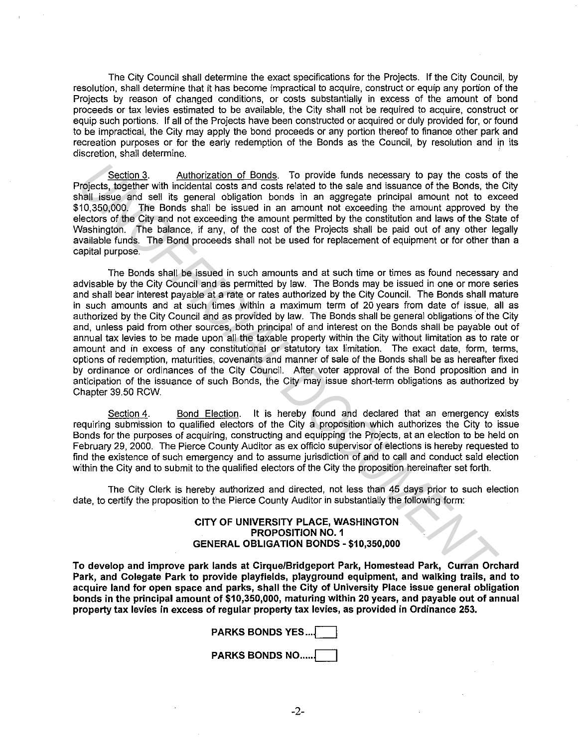The City Council shall determine the exact specifications for the Projects. If the City Council, by resolution, shall determine that it has become impractical to acquire, construct or equip any portion of the Projects by reason of changed conditions, or costs substantially in excess of the amount of bond proceeds or tax levies estimated to be available, the City shall not be required to acquire, construct or equip such portions. If all of the Projects have been constructed or acquired or duly provided for, or found to be impractical, the City may apply the bond proceeds or any portion thereof to finance other park and recreation purposes or for the early redemption of the Bonds as the Council, by resolution and in its discretion, shall determine.

Section 3. Authorization of Bonds. To provide funds necessary to pay the costs of the Projects, together with incidental costs and costs related to the sale and issuance of the Bonds, the City shall issue and sell its general obligation bonds in an aggregate principal amount not to exceed \$10,350,000. The Bonds shall be issued in an amount not exceeding the amount approved by the electors of the City and not exceeding the amount permitted by the constitution and laws of the State of Washington. The balance, if any, of the cost of the Projects shall be paid out of any other legally available funds. The Bond proceeds shall not be used for replacement of equipment or for other than a capital purpose.

The Bonds shall be issued in such amounts and at such time or times as found necessary and advisable by the City Council and as permitted by law. The Bonds may be issued in one or more series and shall bear interest payable at a rate or rates authorized by the City Council. The Bonds shall mature in such amounts and at such times within a maximum term of 20 years from date of issue, all as authorized by the City Council and as provided by law. The Bonds shall be general obligations of the City and, unless paid from other sources, both principal of and interest on the Bonds shall be payable out of annual tax levies to be made upon all the taxable property within the City without limitation as to rate or amount and in excess of any constitutional or statutory tax limitation. The exact date, form, terms, options of redemption, maturities, covenants and manner of sale of the Bonds shall be as hereafter fixed by ordinance or ordinances of the City Council. After voter approval of the Bond proposition and in anticipation of the issuance of such Bonds, the City may issue short-term obligations as authorized by Chapter 39.50 RCW. **Exciten.3.** Authorization of Bonds. To provide funds necessary to pay the costs of chief since with incidental costs related to the Since and chief since and chief since and chief since the Bonds that issue and cell its g

Section 4. Bond Election. It is hereby found and declared that an emergency exists requiring submission to qualified electors of the City a proposition which authorizes the City to issue Bonds for the purposes of acquiring, constructing and equipping the Projects, at an election to be held on February 29, 2000. The Pierce County Auditor as ex officio supervisor of elections is hereby requested to find the existence of such emergency and to assume jurisdiction of and to call and conduct said election within the City and to submit to the qualified electors of the City the proposition hereinafter set forth.

The City Clerk is hereby authorized and directed, not less than 45 days prior to such election date, to certify the proposition to the Pierce County Auditor in substantially the following form:

## CITY OF UNIVERSITY PLACE, WASHINGTON PROPOSITION NO. 1 GENERAL OBLIGATION BONDS - \$10,350,000

To develop and improve park lands at Cirque/Bridgeport Park, Homestead Park, Curran Orchard Park, and Colegate Park to provide playfields, playground equipment, and walking trails, and to acquire land for open space and parks, shall the City of University Place issue general obligation bonds in the principal amount of \$10,350,000, maturing within 20 years, and payable out of annual property tax levies in excess of regular property tax levies, as provided in Ordinance 253.

PARKS BONDS YES...

**PARKS BONDS NO....** 

-2-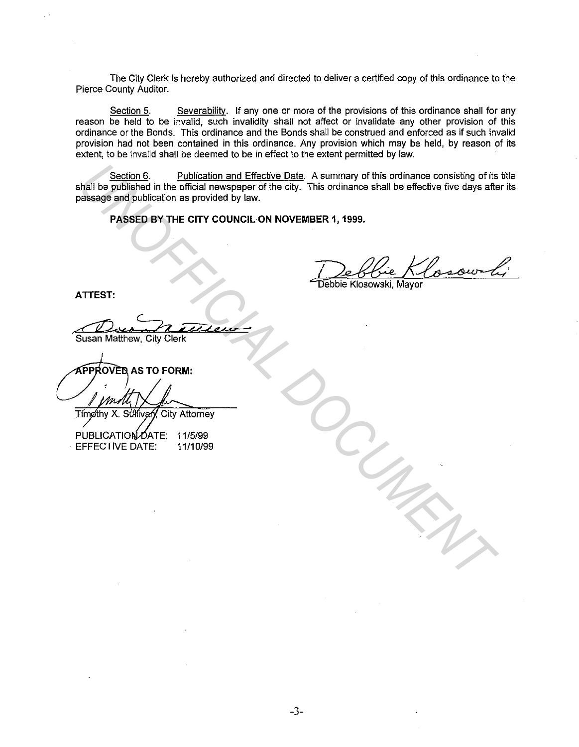The City Clerk is hereby authorized and directed to deliver a certified copy of this ordinance to the Pierce County Auditor.

Section 5. Severability. If any one or more of the provisions of this ordinance shall for any reason be held to be invalid, such invalidity shall not affect or invalidate any other provision of this ordinance or the Bonds. This ordinance and the Bonds shall be construed and enforced as if such invalid provision had not been contained in this ordinance. Any provision which may be held, by reason of its extent, to be invalid shall be deemed to be in effect to the extent permitted by law.

Section 6. Publication and Effective Date. A summary of this ordinance consisting of its title shall be published in the official newspaper of the city. This ordinance shall be effective five days after its passage and publication as provided by law. **University of this column of the official and Effective Date**. A summary of this ordinance consisting of the cases are the distance of the column of the official newspaper of the city. This ordinance shall be effective fi

**PASSED BY THE CITY COUNCIL ON NOVEMBER 1, 1999.** 

Debbie Klosowoli

**ATTEST:** 

**Susan Matthew, City Clerk** 

**OVED AS TO FORM:** 

PUBLICATION DATE: 11/5/99 EFFECTIVE DATE: 11/10/99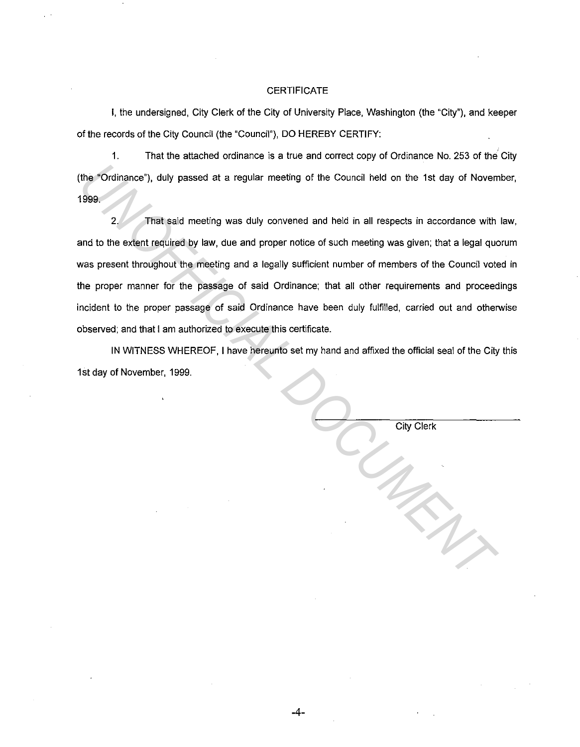## **CERTIFICATE**

I, the undersigned, City Clerk of the City of University Place, Washington (the "City"), and keeper of the records of the City Council (the "Council"), DO HEREBY CERTIFY:

1. That the attached ordinance is a true and correct copy of Ordinance No. 253 of the City (the "Ordinance"), duly passed at a regular meeting of the Council held on the 1st day of November, 1999.

2. That said meeting was duly convened and held in all respects in accordance with law, and to the extent required by law, due and proper notice of such meeting was given; that a legal quorum was present throughout the meeting and a legally sufficient number of members of the Council voted in the proper manner for the passage of said Ordinance; that all other requirements and proceedings incident to the proper passage of said Ordinance have been duly fulfilled, carried out and otherwise observed; and that I am authorized to execute this certificate. The "Ordinance"), duly passed at a regular meeting of the Council held on the 1st day of Novem<br>
1999.<br>
2. That said meeting was duly convened and held in all respects in accordance with<br>
and to the extent required by law,

IN WITNESS WHEREOF, I have hereunto set my hand and affixed the official seal of the City this 1st day of November, 1999.

|  | <b>City Clerk</b> |  |
|--|-------------------|--|
|  |                   |  |
|  |                   |  |
|  |                   |  |